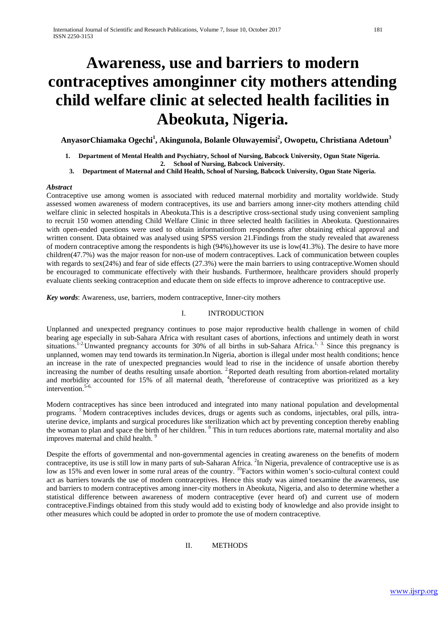# **Awareness, use and barriers to modern contraceptives amonginner city mothers attending child welfare clinic at selected health facilities in Abeokuta, Nigeria.**

AnyasorChiamaka Ogechi<sup>1</sup>, Akingunola, Bolanle Oluwayemisi<sup>2</sup>, Owopetu, Christiana Adetoun<sup>3</sup>

- **1. Department of Mental Health and Psychiatry, School of Nursing, Babcock University, Ogun State Nigeria. 2. School of Nursing, Babcock University.**
- **3. Department of Maternal and Child Health, School of Nursing, Babcock University, Ogun State Nigeria.**

## *Abstract*

Contraceptive use among women is associated with reduced maternal morbidity and mortality worldwide. Study assessed women awareness of modern contraceptives, its use and barriers among inner-city mothers attending child welfare clinic in selected hospitals in Abeokuta.This is a descriptive cross-sectional study using convenient sampling to recruit 150 women attending Child Welfare Clinic in three selected health facilities in Abeokuta. Questionnaires with open-ended questions were used to obtain informationfrom respondents after obtaining ethical approval and written consent. Data obtained was analysed using SPSS version 21.Findings from the study revealed that awareness of modern contraceptive among the respondents is high (94%),however its use is low(41.3%). The desire to have more children(47.7%) was the major reason for non-use of modern contraceptives. Lack of communication between couples with regards to sex(24%) and fear of side effects (27.3%) were the main barriers to using contraceptive. Women should be encouraged to communicate effectively with their husbands. Furthermore, healthcare providers should properly evaluate clients seeking contraception and educate them on side effects to improve adherence to contraceptive use.

*Key words*: Awareness, use, barriers, modern contraceptive, Inner-city mothers

# I. INTRODUCTION

Unplanned and unexpected pregnancy continues to pose major reproductive health challenge in women of child bearing age especially in sub-Sahara Africa with resultant cases of abortions, infections and untimely death in worst situations.<sup>1-2.</sup> Unwanted pregnancy accounts for 30% of all births in sub-Sahara Africa.<sup>1, 3.</sup> Since this pregnancy is unplanned, women may tend towards its termination.In Nigeria, abortion is illegal under most health conditions; hence an increase in the rate of unexpected pregnancies would lead to rise in the incidence of unsafe abortion thereby increasing the number of deaths resulting unsafe abortion. <sup>2</sup> Reported death resulting from abortion-related mortality and morbidity accounted for 15% of all maternal death, <sup>4</sup>thereforeuse of contraceptive was prioritized as a key intervention. $5-6$ 

Modern contraceptives has since been introduced and integrated into many national population and developmental programs. 7.Modern contraceptives includes devices, drugs or agents such as condoms, injectables, oral pills, intrauterine device, implants and surgical procedures like sterilization which act by preventing conception thereby enabling the woman to plan and space the birth of her children. <sup>8</sup> This in turn reduces abortions rate, maternal mortality and also improves maternal and child health.<sup>9</sup>

Despite the efforts of governmental and non-governmental agencies in creating awareness on the benefits of modern contraceptive, its use is still low in many parts of sub-Saharan Africa. <sup>2</sup>In Nigeria, prevalence of contraceptive use is as low as 15% and even lower in some rural areas of the country. <sup>10</sup>Factors within women's socio-cultural context could act as barriers towards the use of modern contraceptives. Hence this study was aimed toexamine the awareness, use and barriers to modern contraceptives among inner-city mothers in Abeokuta, Nigeria, and also to determine whether a statistical difference between awareness of modern contraceptive (ever heard of) and current use of modern contraceptive.Findings obtained from this study would add to existing body of knowledge and also provide insight to other measures which could be adopted in order to promote the use of modern contraceptive.

II. METHODS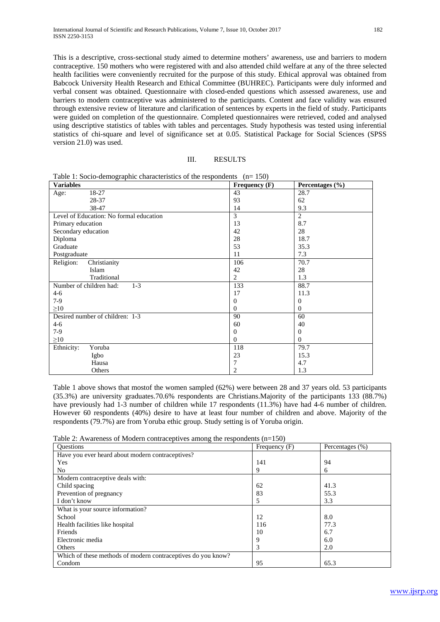This is a descriptive, cross-sectional study aimed to determine mothers' awareness, use and barriers to modern contraceptive. 150 mothers who were registered with and also attended child welfare at any of the three selected health facilities were conveniently recruited for the purpose of this study. Ethical approval was obtained from Babcock University Health Research and Ethical Committee (BUHREC). Participants were duly informed and verbal consent was obtained. Questionnaire with closed-ended questions which assessed awareness, use and barriers to modern contraceptive was administered to the participants. Content and face validity was ensured through extensive review of literature and clarification of sentences by experts in the field of study. Participants were guided on completion of the questionnaire. Completed questionnaires were retrieved, coded and analysed using descriptive statistics of tables with tables and percentages. Study hypothesis was tested using inferential statistics of chi-square and level of significance set at 0.05. Statistical Package for Social Sciences (SPSS version 21.0) was used.

| <b>Variables</b>                        | Frequency $(F)$ | Percentages $(\% )$ |
|-----------------------------------------|-----------------|---------------------|
| 18-27<br>Age:                           | 43              | 28.7                |
| 28-37                                   | 93              | 62                  |
| 38-47                                   | 14              | 9.3                 |
| Level of Education: No formal education | 3               | 2                   |
| Primary education                       | 13              | 8.7                 |
| Secondary education                     | 42              | 28                  |
| Diploma                                 | 28              | 18.7                |
| Graduate                                | 53              | 35.3                |
| Postgraduate                            | 11              | 7.3                 |
| Religion:<br>Christianity               | 106             | 70.7                |
| Islam                                   | 42              | 28                  |
| Traditional                             | $\overline{2}$  | 1.3                 |
| Number of children had:<br>$1-3$        | 133             | 88.7                |
| $4-6$                                   | 17              | 11.3                |
| $7-9$                                   | $\overline{0}$  | $\mathbf{0}$        |
| $\geq10$                                | $\Omega$        | $\Omega$            |
| Desired number of children: 1-3         | 90              | 60                  |
| $4-6$                                   | 60              | 40                  |
| $7-9$                                   | $\mathbf{0}$    | $\mathbf{0}$        |
| $\geq10$                                | $\Omega$        | $\Omega$            |
| Ethnicity:<br>Yoruba                    | 118             | 79.7                |
| Igbo                                    | 23              | 15.3                |
| Hausa                                   | 7               | 4.7                 |
| Others                                  | 2               | 1.3                 |

Table 1: Socio-demographic characteristics of the respondents  $(n= 150)$ 

Table 1 above shows that mostof the women sampled (62%) were between 28 and 37 years old. 53 participants (35.3%) are university graduates.70.6% respondents are Christians.Majority of the participants 133 (88.7%) have previously had 1-3 number of children while 17 respondents (11.3%) have had 4-6 number of children. However 60 respondents (40%) desire to have at least four number of children and above. Majority of the respondents (79.7%) are from Yoruba ethic group. Study setting is of Yoruba origin.

| Table 2: Awareness of Modern contraceptives among the respondents $(n=150)$ |  |  |  |  |
|-----------------------------------------------------------------------------|--|--|--|--|
|-----------------------------------------------------------------------------|--|--|--|--|

| <b>Ouestions</b>                                             | Frequency (F) | Percentages (%) |
|--------------------------------------------------------------|---------------|-----------------|
| Have you ever heard about modern contraceptives?             |               |                 |
| Yes                                                          | 141           | 94              |
| No                                                           | 9             | 6               |
| Modern contraceptive deals with:                             |               |                 |
| Child spacing                                                | 62            | 41.3            |
| Prevention of pregnancy                                      | 83            | 55.3            |
| I don't know                                                 |               | 3.3             |
| What is your source information?                             |               |                 |
| School                                                       | 12            | 8.0             |
| Health facilities like hospital                              | 116           | 77.3            |
| Friends                                                      | 10            | 6.7             |
| Electronic media                                             | Q             | 6.0             |
| Others                                                       | 3             | 2.0             |
| Which of these methods of modern contraceptives do you know? |               |                 |
| Condom                                                       | 95            | 65.3            |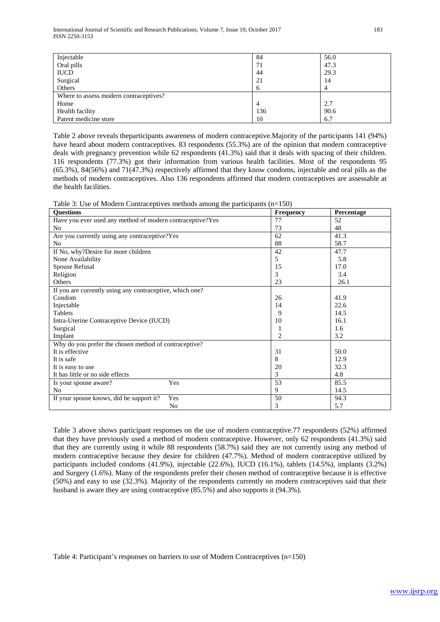| Injectable                             | 84  | 56.0 |
|----------------------------------------|-----|------|
| Oral pills                             | 71  | 47.3 |
| <b>IUCD</b>                            | 44  | 29.3 |
| Surgical                               | 21  | 14   |
| Others                                 | n   | 4    |
| Where to assess modern contraceptives? |     |      |
| Home                                   |     | 2.7  |
| Health facility                        | 136 | 90.6 |
| Patent medicine store                  | 10  | 6.7  |

Table 2 above reveals theparticipants awareness of modern contraceptive.Majority of the participants 141 (94%) have heard about modern contraceptives. 83 respondents (55.3%) are of the opinion that modern contraceptive deals with pregnancy prevention while 62 respondents (41.3%) said that it deals with spacing of their children. 116 respondents (77.3%) got their information from various health facilities. Most of the respondents 95 (65.3%), 84(56%) and 71(47.3%) respectively affirmed that they know condoms, injectable and oral pills as the methods of modern contraceptives. Also 136 respondents affirmed that modern contraceptives are assessable at the health facilities.

| Table 3: Use of Modern Contraceptives methods among the participants $(n=150)$ |  |  |
|--------------------------------------------------------------------------------|--|--|
|--------------------------------------------------------------------------------|--|--|

| <b>Ouestions</b>                                          | Frequency | Percentage |
|-----------------------------------------------------------|-----------|------------|
| Have you ever used any method of modern contraceptive?Yes | 77        | 52         |
| No                                                        | 73        | 48         |
| Are you currently using any contraceptive?Yes             | 62        | 41.3       |
| No                                                        | 88        | 58.7       |
| If No, why?Desire for more children                       | 42        | 47.7       |
| None Availability                                         | 5         | 5.8        |
| Spouse Refusal                                            | 15        | 17.0       |
| Religion                                                  | 3         | 3.4        |
| Others                                                    | 23        | 26.1       |
| If you are currently using any contraceptive, which one?  |           |            |
| Condom                                                    | 26        | 41.9       |
| Injectable                                                | 14        | 22.6       |
| Tablets                                                   | 9         | 14.5       |
| Intra-Uterine Contraceptive Device (IUCD)                 | 10        | 16.1       |
| Surgical                                                  | 1         | 1.6        |
| Implant                                                   | 2         | 3.2        |
| Why do you prefer the chosen method of contraceptive?     |           |            |
| It is effective                                           | 31        | 50.0       |
| It is safe                                                | 8         | 12.9       |
| It is easy to use                                         | 20        | 32.3       |
| It has little or no side effects                          | 3         | 4.8        |
| Yes<br>Is your spouse aware?                              | 53        | 85.5       |
| No                                                        | 9         | 14.5       |
| Yes<br>If your spouse knows, did he support it?           | 50        | 94.3       |
| N <sub>0</sub>                                            | 3         | 5.7        |

Table 3 above shows participant responses on the use of modern contraceptive.77 respondents (52%) affirmed that they have previously used a method of modern contraceptive. However, only 62 respondents (41.3%) said that they are currently using it while 88 respondents (58.7%) said they are not currently using any method of modern contraceptive because they desire for children (47.7%). Method of modern contraceptive utilized by participants included condoms (41.9%), injectable (22.6%), IUCD (16.1%), tablets (14.5%), implants (3.2%) and Surgery (1.6%). Many of the respondents prefer their chosen method of contraceptive because it is effective (50%) and easy to use (32.3%). Majority of the respondents currently on modern contraceptives said that their husband is aware they are using contraceptive (85.5%) and also supports it (94.3%).

Table 4: Participant's responses on barriers to use of Modern Contraceptives (n=150)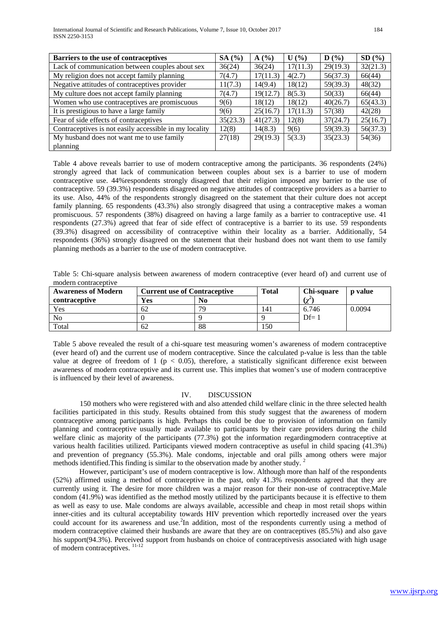| Barriers to the use of contraceptives                  | SA(%)    | A(%)     | $U($ %)  | $\mathbf{D}(\mathcal{V}_0)$ | SD(%)    |
|--------------------------------------------------------|----------|----------|----------|-----------------------------|----------|
| Lack of communication between couples about sex        | 36(24)   | 36(24)   | 17(11.3) | 29(19.3)                    | 32(21.3) |
| My religion does not accept family planning            | 7(4.7)   | 17(11.3) | 4(2.7)   | 56(37.3)                    | 66(44)   |
| Negative attitudes of contraceptives provider          | 11(7.3)  | 14(9.4)  | 18(12)   | 59(39.3)                    | 48(32)   |
| My culture does not accept family planning             | 7(4.7)   | 19(12.7) | 8(5.3)   | 50(33)                      | 66(44)   |
| Women who use contraceptives are promiscuous           | 9(6)     | 18(12)   | 18(12)   | 40(26.7)                    | 65(43.3) |
| It is prestigious to have a large family               | 9(6)     | 25(16.7) | 17(11.3) | 57(38)                      | 42(28)   |
| Fear of side effects of contraceptives                 | 35(23.3) | 41(27.3) | 12(8)    | 37(24.7)                    | 25(16.7) |
| Contraceptives is not easily accessible in my locality | 12(8)    | 14(8.3)  | 9(6)     | 59(39.3)                    | 56(37.3) |
| My husband does not want me to use family              | 27(18)   | 29(19.3) | 5(3.3)   | 35(23.3)                    | 54(36)   |
| planning                                               |          |          |          |                             |          |

Table 4 above reveals barrier to use of modern contraceptive among the participants. 36 respondents (24%) strongly agreed that lack of communication between couples about sex is a barrier to use of modern contraceptive use. 44%respondents strongly disagreed that their religion imposed any barrier to the use of contraceptive. 59 (39.3%) respondents disagreed on negative attitudes of contraceptive providers as a barrier to its use. Also, 44% of the respondents strongly disagreed on the statement that their culture does not accept family planning. 65 respondents (43.3%) also strongly disagreed that using a contraceptive makes a woman promiscuous. 57 respondents (38%) disagreed on having a large family as a barrier to contraceptive use. 41 respondents (27.3%) agreed that fear of side effect of contraceptive is a barrier to its use. 59 respondents (39.3%) disagreed on accessibility of contraceptive within their locality as a barrier. Additionally, 54 respondents (36%) strongly disagreed on the statement that their husband does not want them to use family planning methods as a barrier to the use of modern contraceptive.

Table 5: Chi-square analysis between awareness of modern contraceptive (ever heard of) and current use of modern contraceptive

| <b>Awareness of Modern</b> | <b>Current use of Contraceptive</b> |                | <b>Total</b> | Chi-square | <b>p</b> value |
|----------------------------|-------------------------------------|----------------|--------------|------------|----------------|
| contraceptive              | Yes                                 | N <sub>0</sub> |              | ئن         |                |
| Yes                        | 62                                  | 70             | 141          | 6.746      | 0.0094         |
| No                         |                                     |                |              | $Df=1$     |                |
| Total                      | 62                                  | 88             | 150          |            |                |

Table 5 above revealed the result of a chi-square test measuring women's awareness of modern contraceptive (ever heard of) and the current use of modern contraceptive. Since the calculated p-value is less than the table value at degree of freedom of 1 ( $p < 0.05$ ), therefore, a statistically significant difference exist between awareness of modern contraceptive and its current use. This implies that women's use of modern contraceptive is influenced by their level of awareness.

## IV. DISCUSSION

150 mothers who were registered with and also attended child welfare clinic in the three selected health facilities participated in this study. Results obtained from this study suggest that the awareness of modern contraceptive among participants is high. Perhaps this could be due to provision of information on family planning and contraceptive usually made available to participants by their care providers during the child welfare clinic as majority of the participants (77.3%) got the information regardingmodern contraceptive at various health facilities utilized. Participants viewed modern contraceptive as useful in child spacing (41.3%) and prevention of pregnancy (55.3%). Male condoms, injectable and oral pills among others were major methods identified.This finding is similar to the observation made by another study. <sup>2</sup>

However, participant's use of modern contraceptive is low. Although more than half of the respondents (52%) affirmed using a method of contraceptive in the past, only 41.3% respondents agreed that they are currently using it. The desire for more children was a major reason for their non-use of contraceptive.Male condom (41.9%) was identified as the method mostly utilized by the participants because it is effective to them as well as easy to use. Male condoms are always available, accessible and cheap in most retail shops within inner-cities and its cultural acceptability towards HIV prevention which reportedly increased over the years could account for its awareness and use.<sup>2</sup>In addition, most of the respondents currently using a method of modern contraceptive claimed their husbands are aware that they are on contraceptives (85.5%) and also gave his support(94.3%). Perceived support from husbands on choice of contraceptivesis associated with high usage of modern contraceptives.  $^{11-12}$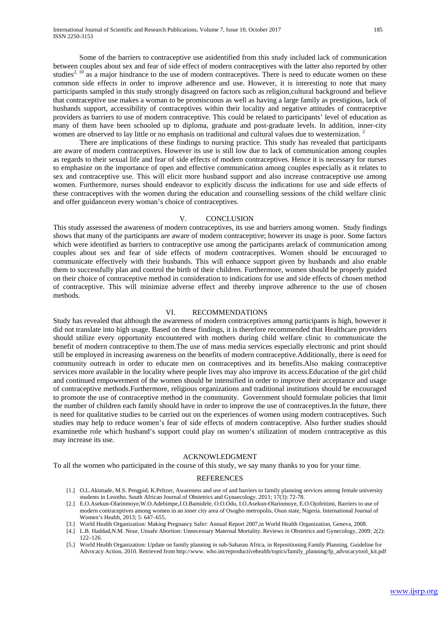Some of the barriers to contraceptive use asidentified from this study included lack of communication between couples about sex and fear of side effect of modern contraceptives with the latter also reported by other studies<sup>2, 10</sup> as a major hindrance to the use of modern contraceptives. There is need to educate women on these common side effects in order to improve adherence and use. However, it is interesting to note that many participants sampled in this study strongly disagreed on factors such as religion,cultural background and believe that contraceptive use makes a woman to be promiscuous as well as having a large family as prestigious, lack of husbands support, accessibility of contraceptives within their locality and negative attitudes of contraceptive providers as barriers to use of modern contraceptive. This could be related to participants' level of education as many of them have been schooled up to diploma, graduate and post-graduate levels. In addition, inner-city women are observed to lay little or no emphasis on traditional and cultural values due to westernization.<sup>2</sup>

There are implications of these findings to nursing practice. This study has revealed that participants are aware of modern contraceptives. However its use is still low due to lack of communication among couples as regards to their sexual life and fear of side effects of modern contraceptives. Hence it is necessary for nurses to emphasize on the importance of open and effective communication among couples especially as it relates to sex and contraceptive use. This will elicit more husband support and also increase contraceptive use among women. Furthermore, nurses should endeavor to explicitly discuss the indications for use and side effects of these contraceptives with the women during the education and counselling sessions of the child welfare clinic and offer guidanceon every woman's choice of contraceptives.

#### V. CONCLUSION

This study assessed the awareness of modern contraceptives, its use and barriers among women. Study findings shows that many of the participants are aware of modern contraceptive; however its usage is poor. Some factors which were identified as barriers to contraceptive use among the participants arelack of communication among couples about sex and fear of side effects of modern contraceptives. Women should be encouraged to communicate effectively with their husbands. This will enhance support given by husbands and also enable them to successfully plan and control the birth of their children. Furthermore, women should be properly guided on their choice of contraceptive method in consideration to indications for use and side effects of chosen method of contraceptive. This will minimize adverse effect and thereby improve adherence to the use of chosen methods.

#### VI. RECOMMENDATIONS

Study has revealed that although the awareness of modern contraceptives among participants is high, however it did not translate into high usage. Based on these findings, it is therefore recommended that Healthcare providers should utilize every opportunity encountered with mothers during child welfare clinic to communicate the benefit of modern contraceptive to them.The use of mass media services especially electronic and print should still be employed in increasing awareness on the benefits of modern contraceptive.Additionally, there is need for community outreach in order to educate men on contraceptives and its benefits.Also making contraceptive services more available in the locality where people lives may also improve its access.Education of the girl child and continued empowerment of the women should be intensified in order to improve their acceptance and usage of contraceptive methods.Furthermore, religious organizations and traditional institutions should be encouraged to promote the use of contraceptive method in the community. Government should formulate policies that limit the number of children each family should have in order to improve the use of contraceptives.In the future, there is need for qualitative studies to be carried out on the experiences of women using modern contraceptives. Such studies may help to reduce women's fear of side effects of modern contraceptive. Also further studies should examinethe role which husband's support could play on women's utilization of modern contraceptive as this may increase its use.

## ACKNOWLEDGMENT

To all the women who participated in the course of this study, we say many thanks to you for your time.

#### REFERENCES

- [1.] O.L.Akintade, M.S. Pengpid, K.Peltzer, Awareness and use of and barriers to family planning services among female university students in Lesotho. South African Journal of Obstetrics and Gynaecology. 2011; 17(3): 72-78.
- [2.] [E.O.Asekun-Olarinmoye,](https://www.ncbi.nlm.nih.gov/pubmed/?term=Asekun-Olarinmoye%20E%5BAuthor%5D&cauthor=true&cauthor_uid=24143124)[W.O.Adebimpe,](https://www.ncbi.nlm.nih.gov/pubmed/?term=Adebimpe%20W%5BAuthor%5D&cauthor=true&cauthor_uid=24143124)[J.O.Bamidele,](https://www.ncbi.nlm.nih.gov/pubmed/?term=Bamidele%20J%5BAuthor%5D&cauthor=true&cauthor_uid=24143124) [O.O.Odu,](https://www.ncbi.nlm.nih.gov/pubmed/?term=Odu%20O%5BAuthor%5D&cauthor=true&cauthor_uid=24143124) [I.O.Asekun-Olarinmoye,](https://www.ncbi.nlm.nih.gov/pubmed/?term=Asekun-Olarinmoye%20I%5BAuthor%5D&cauthor=true&cauthor_uid=24143124) [E.O.Ojofeitimi,](https://www.ncbi.nlm.nih.gov/pubmed/?term=Ojofeitimi%20E%5BAuthor%5D&cauthor=true&cauthor_uid=24143124) Barriers to use of modern contraceptives among women in an inner city area of Osogbo metropolis, Osun state, Nigeria. [International Journal of](https://www.ncbi.nlm.nih.gov/pmc/articles/PMC3797631/)  [Women's Health,](https://www.ncbi.nlm.nih.gov/pmc/articles/PMC3797631/) 2013; 5: 647–655.
- [3.] World Health Organization: Making Pregnancy Safer: Annual Report 2007,in World Health Organization, Geneva, 2008.
- [4.] L.B[. Haddad](https://www.ncbi.nlm.nih.gov/pubmed/?term=Haddad%20LB%5BAuthor%5D&cauthor=true&cauthor_uid=19609407)[,N.M. Nour,](https://www.ncbi.nlm.nih.gov/pubmed/?term=Nour%20NM%5BAuthor%5D&cauthor=true&cauthor_uid=19609407) Unsafe Abortion: Unnecessary Maternal Mortality[. Reviews in Obstetrics and Gynecolo](https://www.ncbi.nlm.nih.gov/pmc/articles/PMC2709326/)gy, 2009; 2(2): 122–126.
- [5.] World Health Organization: Update on family planning in sub-Saharan Africa, in Repositioning Family Planning. Guideline for Advocacy Action, 2010. Retrieved from http://www. who.int/reproductivehealth/topics/family\_planning/fp\_advocacytool\_kit.pdf